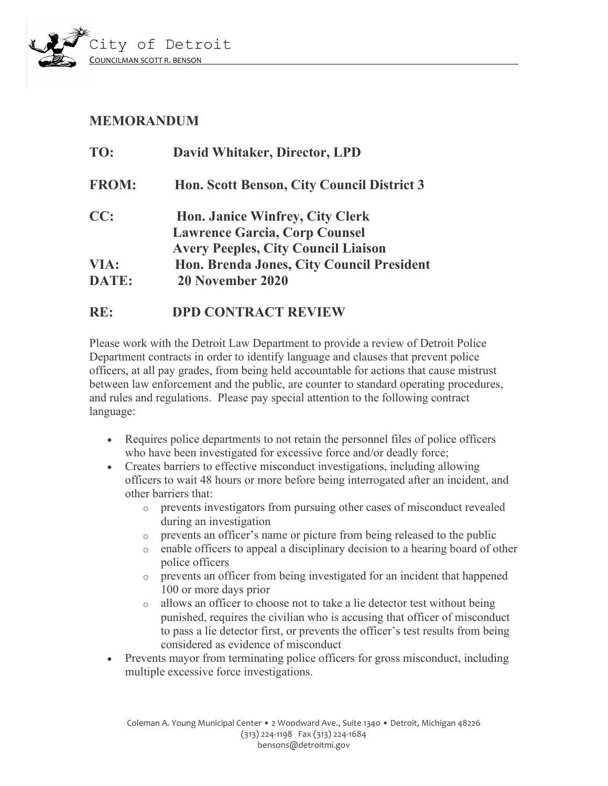

## **MEMORANDUM**

| TO:          | David Whitaker, Director, LPD              |
|--------------|--------------------------------------------|
| <b>FROM:</b> | Hon. Scott Benson, City Council District 3 |
| CC:          | <b>Hon. Janice Winfrey, City Clerk</b>     |
|              | <b>Lawrence Garcia, Corp Counsel</b>       |
|              | <b>Avery Peeples, City Council Liaison</b> |
| VIA:         | Hon. Brenda Jones, City Council President  |
| <b>DATE:</b> | 20 November 2020                           |
|              |                                            |

## **RE: DPD CONTRACT REVIEW**

Please work with the Detroit Law Department to provide a review of Detroit Police Department contracts in order to identify language and clauses that prevent police officers, at all pay grades, from being held accountable for actions that cause mistrust between law enforcement and the public, are counter to standard operating procedures, and rules and regulations. Please pay special attention to the following contract language:

- Requires police departments to not retain the personnel files of police officers who have been investigated for excessive force and/or deadly force;
- Creates barriers to effective misconduct investigations, including allowing officers to wait 48 hours or more before being interrogated after an incident, and other barriers that:
	- o prevents investigators from pursuing other cases of misconduct revealed during an investigation
	- o prevents an officer's name or picture from being released to the public
	- o enable officers to appeal a disciplinary decision to a hearing board of other police officers
	- o prevents an officer from being investigated for an incident that happened 100 or more days prior
	- o allows an officer to choose not to take a lie detector test without being punished, requires the civilian who is accusing that officer of misconduct to pass a lie detector first, or prevents the officer's test results from being considered as evidence of misconduct
- Prevents mayor from terminating police officers for gross misconduct, including multiple excessive force investigations.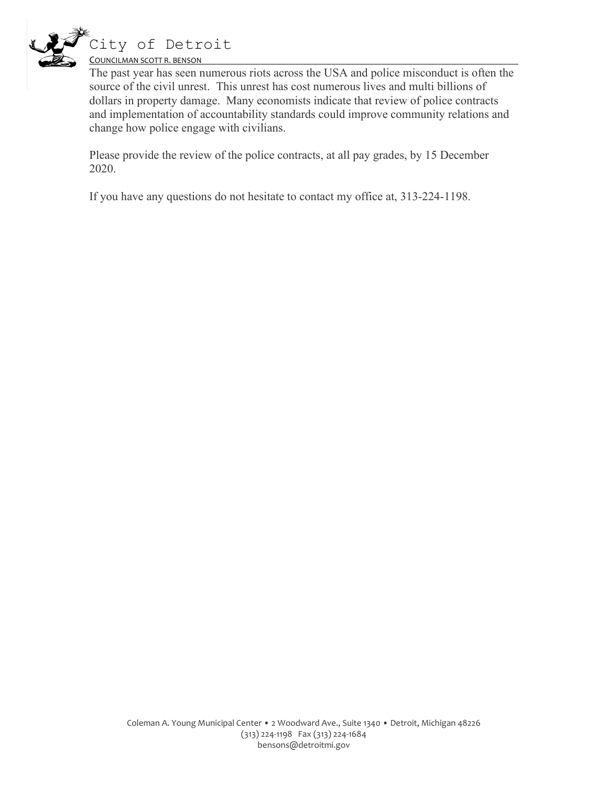

The past year has seen numerous riots across the USA and police misconduct is often the source of the civil unrest. This unrest has cost numerous lives and multi billions of dollars in property damage. Many economists indicate that review of police contracts and implementation of accountability standards could improve community relations and change how police engage with civilians.

Please provide the review of the police contracts, at all pay grades, by 15 December 2020.

If you have any questions do not hesitate to contact my office at, 313-224-1198.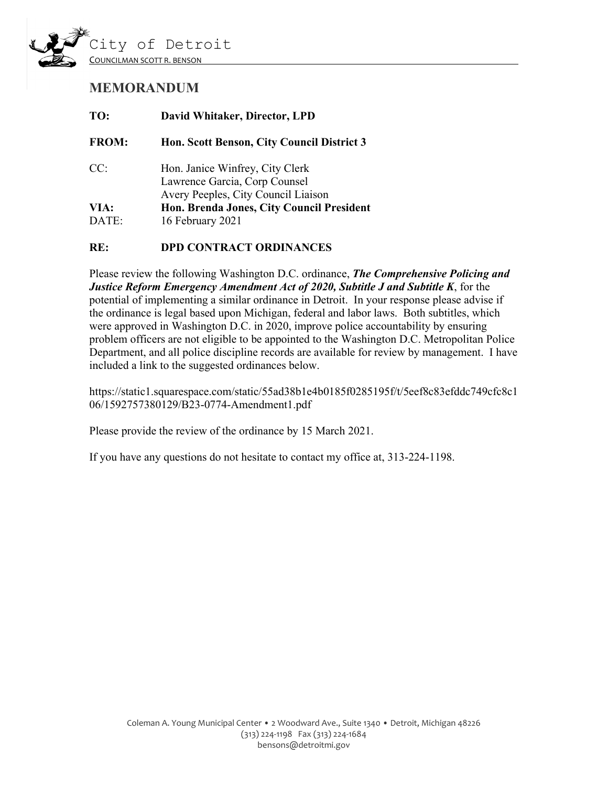

# **MEMORANDUM**

| TO:           | David Whitaker, Director, LPD                                                                           |
|---------------|---------------------------------------------------------------------------------------------------------|
| <b>FROM:</b>  | Hon. Scott Benson, City Council District 3                                                              |
| CC:           | Hon. Janice Winfrey, City Clerk<br>Lawrence Garcia, Corp Counsel<br>Avery Peeples, City Council Liaison |
| VIA:<br>DATE: | Hon. Brenda Jones, City Council President<br>16 February 2021                                           |
|               |                                                                                                         |

#### **RE: DPD CONTRACT ORDINANCES**

Please review the following Washington D.C. ordinance, *The Comprehensive Policing and Justice Reform Emergency Amendment Act of 2020, Subtitle J and Subtitle K*, for the potential of implementing a similar ordinance in Detroit. In your response please advise if the ordinance is legal based upon Michigan, federal and labor laws. Both subtitles, which were approved in Washington D.C. in 2020, improve police accountability by ensuring problem officers are not eligible to be appointed to the Washington D.C. Metropolitan Police Department, and all police discipline records are available for review by management. I have included a link to the suggested ordinances below.

https://static1.squarespace.com/static/55ad38b1e4b0185f0285195f/t/5eef8c83efddc749cfc8c1 06/1592757380129/B23-0774-Amendment1.pdf

Please provide the review of the ordinance by 15 March 2021.

If you have any questions do not hesitate to contact my office at, 313-224-1198.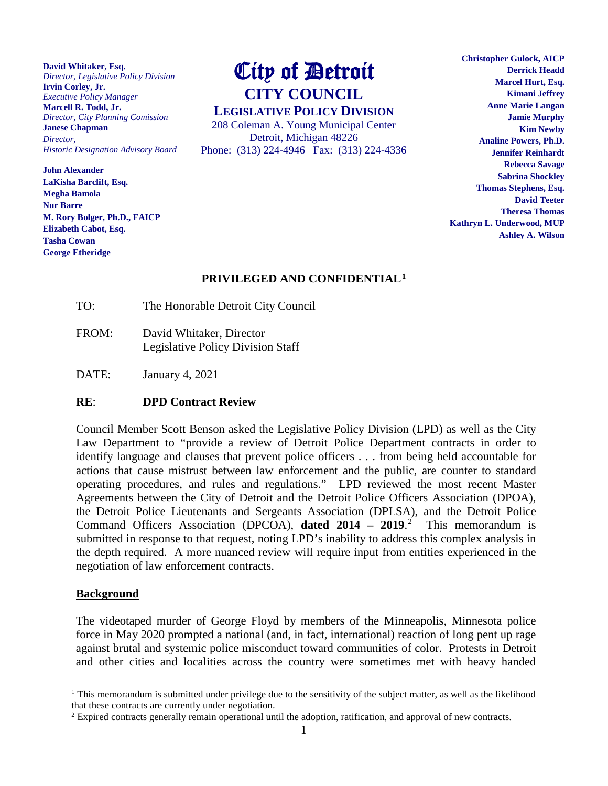**David Whitaker, Esq.** *Director, Legislative Policy Division* **Irvin Corley, Jr.** *Executive Policy Manager* **Marcell R. Todd, Jr.** *Director, City Planning Comission* **Janese Chapman** *Director, Historic Designation Advisory Board Advisory* 

rur **barre**<br>M. Rory Bolger, Ph.D., FAICP **LEGISLATIVE Elizabeth Cabot, Esq. John Alexander LaKisha Barclift, Esq. Megha Bamola Nur Barre Tasha Cowan George Etheridge**

# City of Detroit **CITY COUNCIL**

**LEGISLATIVE POLICY DIVISION** 208 Coleman A. Young Municipal Center Detroit, Michigan 48226 Phone: (313) 224-4946 Fax: (313) 224-4336

**Christopher Gulock, AICP Derrick Headd Marcel Hurt, Esq. Kimani Jeffrey Anne Marie Langan Jamie Murphy Kim Newby Analine Powers, Ph.D. Jennifer Reinhardt Rebecca Savage Sabrina Shockley Thomas Stephens, Esq. David Teeter Theresa Thomas Kathryn L. Underwood, MUP Ashley A. Wilson**

## **PRIVILEGED AND CONFIDENTIAL[1](#page-3-0)**

- TO: The Honorable Detroit City Council
- FROM: David Whitaker, Director Legislative Policy Division Staff
- DATE: January 4, 2021

#### **RE**: **DPD Contract Review**

Council Member Scott Benson asked the Legislative Policy Division (LPD) as well as the City Law Department to "provide a review of Detroit Police Department contracts in order to identify language and clauses that prevent police officers . . . from being held accountable for actions that cause mistrust between law enforcement and the public, are counter to standard operating procedures, and rules and regulations." LPD reviewed the most recent Master Agreements between the City of Detroit and the Detroit Police Officers Association (DPOA), the Detroit Police Lieutenants and Sergeants Association (DPLSA), and the Detroit Police Command Officers Association (DPCOA), **dated 2014 – 2019**. [2](#page-3-1) This memorandum is submitted in response to that request, noting LPD's inability to address this complex analysis in the depth required. A more nuanced review will require input from entities experienced in the negotiation of law enforcement contracts.

#### **Background**

The videotaped murder of George Floyd by members of the Minneapolis, Minnesota police force in May 2020 prompted a national (and, in fact, international) reaction of long pent up rage against brutal and systemic police misconduct toward communities of color. Protests in Detroit and other cities and localities across the country were sometimes met with heavy handed

<span id="page-3-0"></span><sup>&</sup>lt;sup>1</sup> This memorandum is submitted under privilege due to the sensitivity of the subject matter, as well as the likelihood that these contracts are currently under negotiation.

<span id="page-3-1"></span><sup>2</sup> Expired contracts generally remain operational until the adoption, ratification, and approval of new contracts.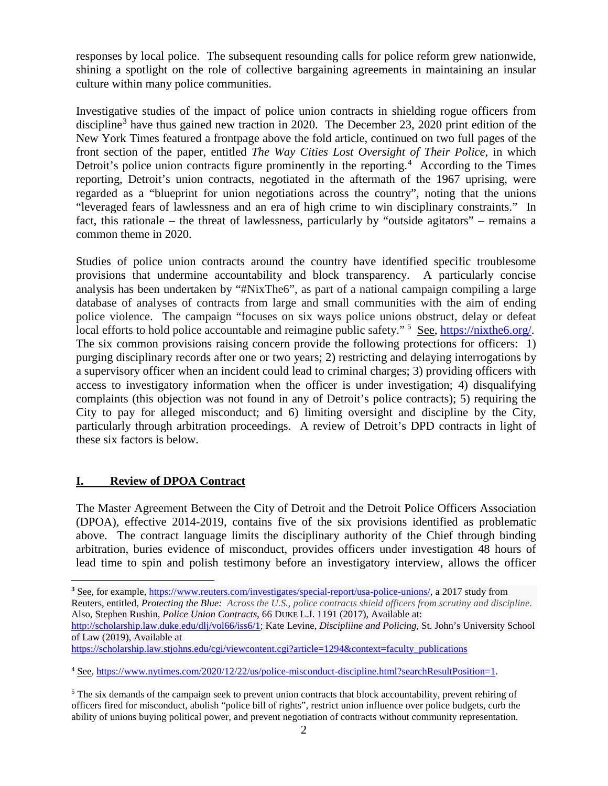responses by local police. The subsequent resounding calls for police reform grew nationwide, shining a spotlight on the role of collective bargaining agreements in maintaining an insular culture within many police communities.

Investigative studies of the impact of police union contracts in shielding rogue officers from discipline<sup>[3](#page-4-0)</sup> have thus gained new traction in 2020. The December 23, 2020 print edition of the New York Times featured a frontpage above the fold article, continued on two full pages of the front section of the paper, entitled *The Way Cities Lost Oversight of Their Police*, in which Detroit's police union contracts figure prominently in the reporting.<sup>[4](#page-4-1)</sup> According to the Times reporting, Detroit's union contracts, negotiated in the aftermath of the 1967 uprising, were regarded as a "blueprint for union negotiations across the country", noting that the unions "leveraged fears of lawlessness and an era of high crime to win disciplinary constraints." In fact, this rationale – the threat of lawlessness, particularly by "outside agitators" – remains a common theme in 2020.

Studies of police union contracts around the country have identified specific troublesome provisions that undermine accountability and block transparency. A particularly concise analysis has been undertaken by "#NixThe6", as part of a national campaign compiling a large database of analyses of contracts from large and small communities with the aim of ending police violence. The campaign "focuses on six ways police unions obstruct, delay or defeat local efforts to hold police accountable and reimagine public safety."<sup>[5](#page-4-2)</sup> See, [https://nixthe6.org/.](https://nixthe6.org/) The six common provisions raising concern provide the following protections for officers: 1) purging disciplinary records after one or two years; 2) restricting and delaying interrogations by a supervisory officer when an incident could lead to criminal charges; 3) providing officers with access to investigatory information when the officer is under investigation; 4) disqualifying complaints (this objection was not found in any of Detroit's police contracts); 5) requiring the City to pay for alleged misconduct; and 6) limiting oversight and discipline by the City, particularly through arbitration proceedings. A review of Detroit's DPD contracts in light of these six factors is below.

## **I. Review of DPOA Contract**

 $\overline{a}$ 

The Master Agreement Between the City of Detroit and the Detroit Police Officers Association (DPOA), effective 2014-2019, contains five of the six provisions identified as problematic above. The contract language limits the disciplinary authority of the Chief through binding arbitration, buries evidence of misconduct, provides officers under investigation 48 hours of lead time to spin and polish testimony before an investigatory interview, allows the officer

<sup>&</sup>lt;sup>3</sup> See, for example, [https://www.reuters.com/investigates/special-report/usa-police-unions/,](https://www.reuters.com/investigates/special-report/usa-police-unions/) a 2017 study from

<span id="page-4-0"></span>Reuters, entitled, *Protecting the Blue: Across the U.S., police contracts shield officers from scrutiny and discipline*. Also, Stephen Rushin, *Police Union Contracts*, 66 DUKE L.J. 1191 (2017), Available at:

[http://scholarship.law.duke.edu/dlj/vol66/iss6/1;](http://scholarship.law.duke.edu/dlj/vol66/iss6/1) Kate Levine, *Discipliine and Policing*, St. John's University School of Law (2019), Available at

[https://scholarship.law.stjohns.edu/cgi/viewcontent.cgi?article=1294&context=faculty\\_publications](https://scholarship.law.stjohns.edu/cgi/viewcontent.cgi?article=1294&context=faculty_publications)

<span id="page-4-1"></span><sup>4</sup> See, [https://www.nytimes.com/2020/12/22/us/police-misconduct-discipline.html?searchResultPosition=1.](https://www.nytimes.com/2020/12/22/us/police-misconduct-discipline.html?searchResultPosition=1)

<span id="page-4-2"></span> $<sup>5</sup>$  The six demands of the campaign seek to prevent union contracts that block accountability, prevent rehiring of</sup> officers fired for misconduct, abolish "police bill of rights", restrict union influence over police budgets, curb the ability of unions buying political power, and prevent negotiation of contracts without community representation.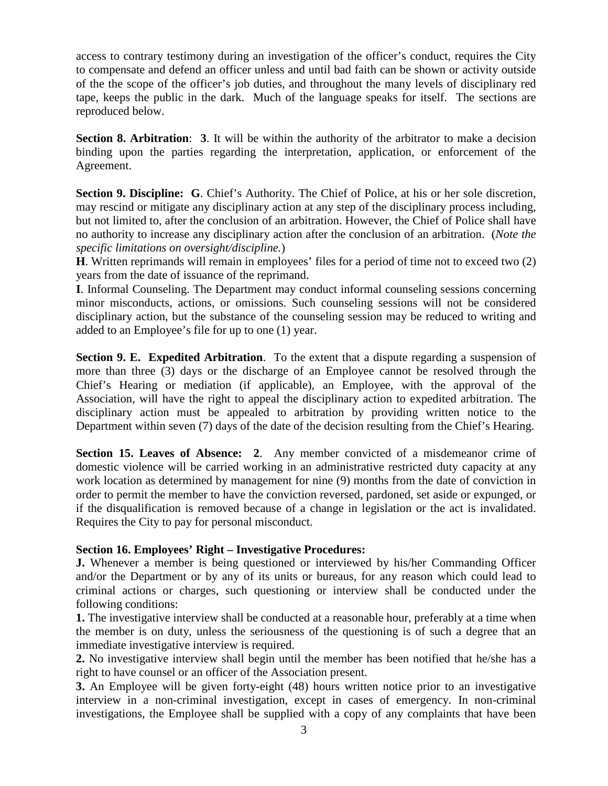access to contrary testimony during an investigation of the officer's conduct, requires the City to compensate and defend an officer unless and until bad faith can be shown or activity outside of the the scope of the officer's job duties, and throughout the many levels of disciplinary red tape, keeps the public in the dark. Much of the language speaks for itself. The sections are reproduced below.

**Section 8. Arbitration**: **3**. It will be within the authority of the arbitrator to make a decision binding upon the parties regarding the interpretation, application, or enforcement of the Agreement.

**Section 9. Discipline: G**. Chief's Authority. The Chief of Police, at his or her sole discretion, may rescind or mitigate any disciplinary action at any step of the disciplinary process including, but not limited to, after the conclusion of an arbitration. However, the Chief of Police shall have no authority to increase any disciplinary action after the conclusion of an arbitration. (*Note the specific limitations on oversight/discipline.*)

**H**. Written reprimands will remain in employees' files for a period of time not to exceed two (2) years from the date of issuance of the reprimand.

**I**. Informal Counseling. The Department may conduct informal counseling sessions concerning minor misconducts, actions, or omissions. Such counseling sessions will not be considered disciplinary action, but the substance of the counseling session may be reduced to writing and added to an Employee's file for up to one (1) year.

**Section 9. E. Expedited Arbitration**. To the extent that a dispute regarding a suspension of more than three (3) days or the discharge of an Employee cannot be resolved through the Chief's Hearing or mediation (if applicable), an Employee, with the approval of the Association, will have the right to appeal the disciplinary action to expedited arbitration. The disciplinary action must be appealed to arbitration by providing written notice to the Department within seven (7) days of the date of the decision resulting from the Chief's Hearing.

**Section 15. Leaves of Absence: 2**. Any member convicted of a misdemeanor crime of domestic violence will be carried working in an administrative restricted duty capacity at any work location as determined by management for nine (9) months from the date of conviction in order to permit the member to have the conviction reversed, pardoned, set aside or expunged, or if the disqualification is removed because of a change in legislation or the act is invalidated. Requires the City to pay for personal misconduct.

#### **Section 16. Employees' Right – Investigative Procedures:**

**J.** Whenever a member is being questioned or interviewed by his/her Commanding Officer and/or the Department or by any of its units or bureaus, for any reason which could lead to criminal actions or charges, such questioning or interview shall be conducted under the following conditions:

**1.** The investigative interview shall be conducted at a reasonable hour, preferably at a time when the member is on duty, unless the seriousness of the questioning is of such a degree that an immediate investigative interview is required.

**2.** No investigative interview shall begin until the member has been notified that he/she has a right to have counsel or an officer of the Association present.

**3.** An Employee will be given forty-eight (48) hours written notice prior to an investigative interview in a non-criminal investigation, except in cases of emergency. In non-criminal investigations, the Employee shall be supplied with a copy of any complaints that have been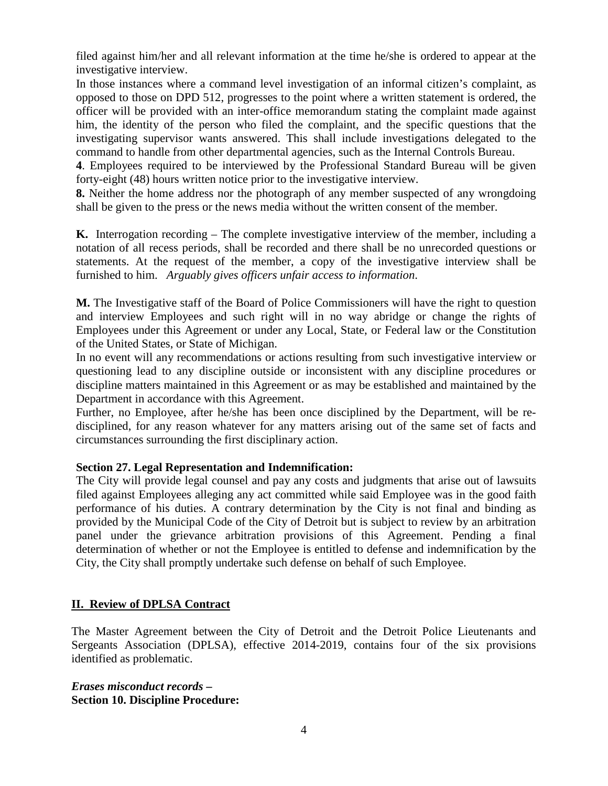filed against him/her and all relevant information at the time he/she is ordered to appear at the investigative interview.

In those instances where a command level investigation of an informal citizen's complaint, as opposed to those on DPD 512, progresses to the point where a written statement is ordered, the officer will be provided with an inter-office memorandum stating the complaint made against him, the identity of the person who filed the complaint, and the specific questions that the investigating supervisor wants answered. This shall include investigations delegated to the command to handle from other departmental agencies, such as the Internal Controls Bureau.

**4**. Employees required to be interviewed by the Professional Standard Bureau will be given forty-eight (48) hours written notice prior to the investigative interview.

**8.** Neither the home address nor the photograph of any member suspected of any wrongdoing shall be given to the press or the news media without the written consent of the member.

**K.** Interrogation recording – The complete investigative interview of the member, including a notation of all recess periods, shall be recorded and there shall be no unrecorded questions or statements. At the request of the member, a copy of the investigative interview shall be furnished to him. *Arguably gives officers unfair access to information*.

**M.** The Investigative staff of the Board of Police Commissioners will have the right to question and interview Employees and such right will in no way abridge or change the rights of Employees under this Agreement or under any Local, State, or Federal law or the Constitution of the United States, or State of Michigan.

In no event will any recommendations or actions resulting from such investigative interview or questioning lead to any discipline outside or inconsistent with any discipline procedures or discipline matters maintained in this Agreement or as may be established and maintained by the Department in accordance with this Agreement.

Further, no Employee, after he/she has been once disciplined by the Department, will be redisciplined, for any reason whatever for any matters arising out of the same set of facts and circumstances surrounding the first disciplinary action.

#### **Section 27. Legal Representation and Indemnification:**

The City will provide legal counsel and pay any costs and judgments that arise out of lawsuits filed against Employees alleging any act committed while said Employee was in the good faith performance of his duties. A contrary determination by the City is not final and binding as provided by the Municipal Code of the City of Detroit but is subject to review by an arbitration panel under the grievance arbitration provisions of this Agreement. Pending a final determination of whether or not the Employee is entitled to defense and indemnification by the City, the City shall promptly undertake such defense on behalf of such Employee.

## **II. Review of DPLSA Contract**

The Master Agreement between the City of Detroit and the Detroit Police Lieutenants and Sergeants Association (DPLSA), effective 2014-2019, contains four of the six provisions identified as problematic.

*Erases misconduct records* **– Section 10. Discipline Procedure:**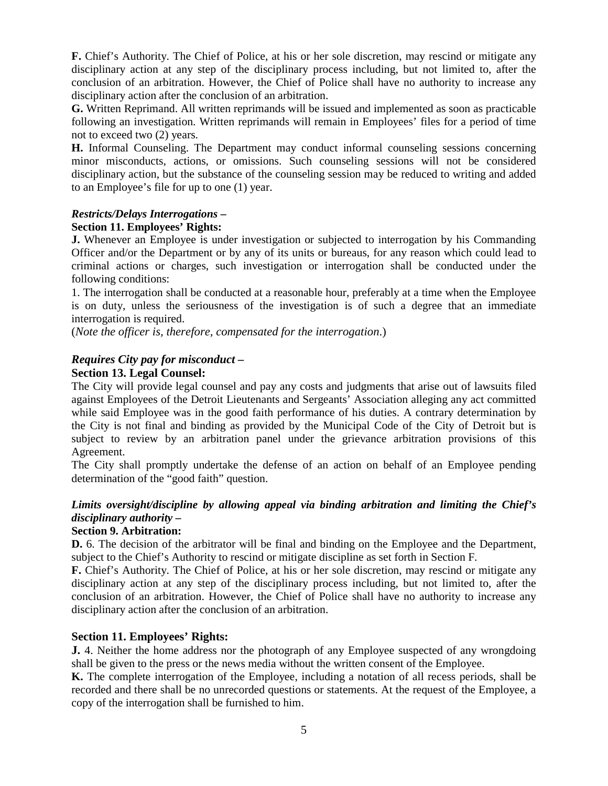**F.** Chief's Authority. The Chief of Police, at his or her sole discretion, may rescind or mitigate any disciplinary action at any step of the disciplinary process including, but not limited to, after the conclusion of an arbitration. However, the Chief of Police shall have no authority to increase any disciplinary action after the conclusion of an arbitration.

**G.** Written Reprimand. All written reprimands will be issued and implemented as soon as practicable following an investigation. Written reprimands will remain in Employees' files for a period of time not to exceed two (2) years.

**H.** Informal Counseling. The Department may conduct informal counseling sessions concerning minor misconducts, actions, or omissions. Such counseling sessions will not be considered disciplinary action, but the substance of the counseling session may be reduced to writing and added to an Employee's file for up to one (1) year.

#### *Restricts/Delays Interrogations* **–**

#### **Section 11. Employees' Rights:**

**J.** Whenever an Employee is under investigation or subjected to interrogation by his Commanding Officer and/or the Department or by any of its units or bureaus, for any reason which could lead to criminal actions or charges, such investigation or interrogation shall be conducted under the following conditions:

1. The interrogation shall be conducted at a reasonable hour, preferably at a time when the Employee is on duty, unless the seriousness of the investigation is of such a degree that an immediate interrogation is required.

(*Note the officer is, therefore, compensated for the interrogation*.)

#### *Requires City pay for misconduct –*

#### **Section 13. Legal Counsel:**

The City will provide legal counsel and pay any costs and judgments that arise out of lawsuits filed against Employees of the Detroit Lieutenants and Sergeants' Association alleging any act committed while said Employee was in the good faith performance of his duties. A contrary determination by the City is not final and binding as provided by the Municipal Code of the City of Detroit but is subject to review by an arbitration panel under the grievance arbitration provisions of this Agreement.

The City shall promptly undertake the defense of an action on behalf of an Employee pending determination of the "good faith" question.

## *Limits oversight/discipline by allowing appeal via binding arbitration and limiting the Chief's disciplinary authority –*

### **Section 9. Arbitration:**

**D.** 6. The decision of the arbitrator will be final and binding on the Employee and the Department, subject to the Chief's Authority to rescind or mitigate discipline as set forth in Section F.

**F.** Chief's Authority. The Chief of Police, at his or her sole discretion, may rescind or mitigate any disciplinary action at any step of the disciplinary process including, but not limited to, after the conclusion of an arbitration. However, the Chief of Police shall have no authority to increase any disciplinary action after the conclusion of an arbitration.

#### **Section 11. Employees' Rights:**

**J.** 4. Neither the home address nor the photograph of any Employee suspected of any wrongdoing shall be given to the press or the news media without the written consent of the Employee.

**K.** The complete interrogation of the Employee, including a notation of all recess periods, shall be recorded and there shall be no unrecorded questions or statements. At the request of the Employee, a copy of the interrogation shall be furnished to him.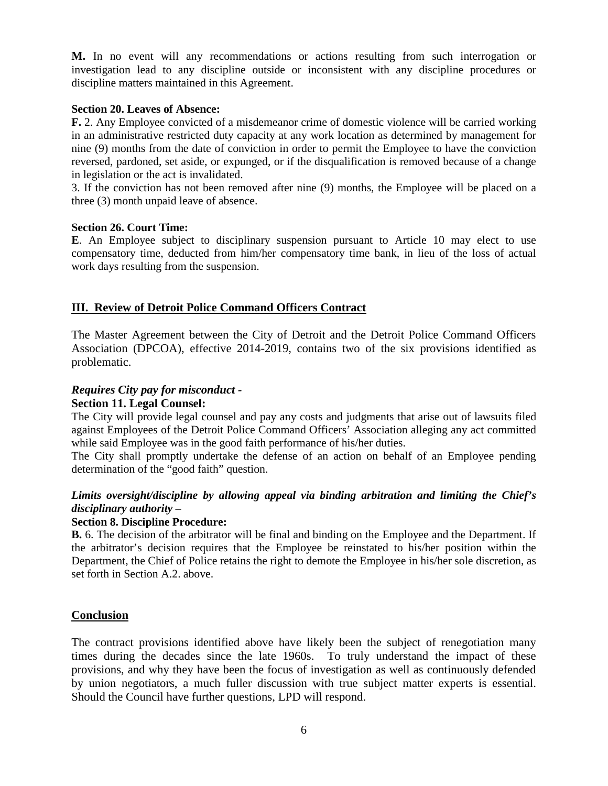**M.** In no event will any recommendations or actions resulting from such interrogation or investigation lead to any discipline outside or inconsistent with any discipline procedures or discipline matters maintained in this Agreement.

#### **Section 20. Leaves of Absence:**

**F.** 2. Any Employee convicted of a misdemeanor crime of domestic violence will be carried working in an administrative restricted duty capacity at any work location as determined by management for nine (9) months from the date of conviction in order to permit the Employee to have the conviction reversed, pardoned, set aside, or expunged, or if the disqualification is removed because of a change in legislation or the act is invalidated.

3. If the conviction has not been removed after nine (9) months, the Employee will be placed on a three (3) month unpaid leave of absence.

#### **Section 26. Court Time:**

**E**. An Employee subject to disciplinary suspension pursuant to Article 10 may elect to use compensatory time, deducted from him/her compensatory time bank, in lieu of the loss of actual work days resulting from the suspension.

#### **III. Review of Detroit Police Command Officers Contract**

The Master Agreement between the City of Detroit and the Detroit Police Command Officers Association (DPCOA), effective 2014-2019, contains two of the six provisions identified as problematic.

## *Requires City pay for misconduct -*

## **Section 11. Legal Counsel:**

The City will provide legal counsel and pay any costs and judgments that arise out of lawsuits filed against Employees of the Detroit Police Command Officers' Association alleging any act committed while said Employee was in the good faith performance of his/her duties.

The City shall promptly undertake the defense of an action on behalf of an Employee pending determination of the "good faith" question.

## *Limits oversight/discipline by allowing appeal via binding arbitration and limiting the Chief's disciplinary authority –*

#### **Section 8. Discipline Procedure:**

**B.** 6. The decision of the arbitrator will be final and binding on the Employee and the Department. If the arbitrator's decision requires that the Employee be reinstated to his/her position within the Department, the Chief of Police retains the right to demote the Employee in his/her sole discretion, as set forth in Section A.2. above.

#### **Conclusion**

The contract provisions identified above have likely been the subject of renegotiation many times during the decades since the late 1960s. To truly understand the impact of these provisions, and why they have been the focus of investigation as well as continuously defended by union negotiators, a much fuller discussion with true subject matter experts is essential. Should the Council have further questions, LPD will respond.